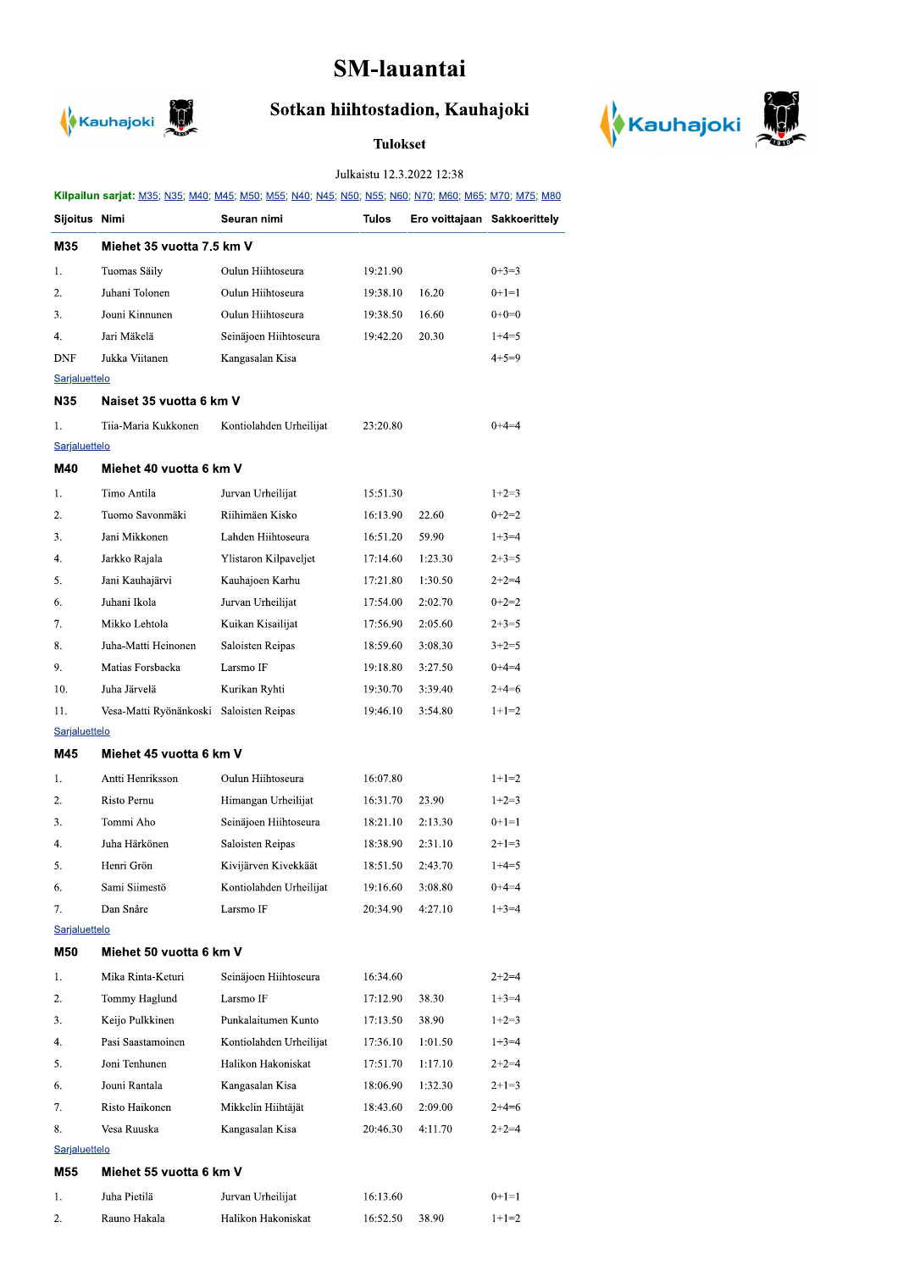## SM-lauantai



## Sotkan hiihtostadion, Kauhajoki

## **Tulokset**



## Julkaistu 12.3.2022 12:38

| Kilpailun sarjat: M35; N35; M40; M45; M50; M55; N40; N45; N50; N55; N60; N70; M60; M65; M70; M75; M80 |                         |                           |              |                              |             |  |  |  |  |
|-------------------------------------------------------------------------------------------------------|-------------------------|---------------------------|--------------|------------------------------|-------------|--|--|--|--|
| Sijoitus Nimi                                                                                         |                         | Seuran nimi               | <b>Tulos</b> | Ero voittajaan Sakkoerittely |             |  |  |  |  |
| M35                                                                                                   |                         | Miehet 35 vuotta 7.5 km V |              |                              |             |  |  |  |  |
| 1.                                                                                                    | Tuomas Säily            | Oulun Hiihtoseura         | 19:21.90     |                              | $0+3=3$     |  |  |  |  |
| 2.                                                                                                    | Juhani Tolonen          | Oulun Hiihtoseura         | 19:38.10     | 16.20                        | $0+1=1$     |  |  |  |  |
| 3.                                                                                                    | Jouni Kinnunen          | Oulun Hiihtoseura         | 19:38.50     | 16.60                        | $0+0=0$     |  |  |  |  |
| 4.                                                                                                    | Jari Mäkelä             | Seinäjoen Hiihtoseura     | 19:42.20     | 20.30                        | $1+4=5$     |  |  |  |  |
| DNF                                                                                                   | Jukka Viitanen          | Kangasalan Kisa           |              |                              | $4 + 5 = 9$ |  |  |  |  |
| Sarjaluettelo                                                                                         |                         |                           |              |                              |             |  |  |  |  |
| N35                                                                                                   |                         | Naiset 35 vuotta 6 km V   |              |                              |             |  |  |  |  |
| 1.                                                                                                    | Tiia-Maria Kukkonen     | Kontiolahden Urheilijat   | 23:20.80     |                              | $0+4=4$     |  |  |  |  |
| Sarjaluettelo                                                                                         |                         |                           |              |                              |             |  |  |  |  |
| M40                                                                                                   | Miehet 40 vuotta 6 km V |                           |              |                              |             |  |  |  |  |
| 1.                                                                                                    | Timo Antila             | Jurvan Urheilijat         | 15:51.30     |                              | $1+2=3$     |  |  |  |  |
| 2.                                                                                                    | Tuomo Savonmäki         | Riihimäen Kisko           | 16:13.90     | 22.60                        | $0+2=2$     |  |  |  |  |
| 3.                                                                                                    | Jani Mikkonen           | Lahden Hiihtoseura        | 16:51.20     | 59.90                        | $1+3=4$     |  |  |  |  |
| 4.                                                                                                    | Jarkko Rajala           | Ylistaron Kilpaveljet     | 17:14.60     | 1:23.30                      | $2+3=5$     |  |  |  |  |
| 5.                                                                                                    | Jani Kauhajärvi         | Kauhajoen Karhu           | 17:21.80     | 1:30.50                      | $2+2=4$     |  |  |  |  |
| 6.                                                                                                    | Juhani Ikola            | Jurvan Urheilijat         | 17:54.00     | 2:02.70                      | $0+2=2$     |  |  |  |  |
| 7.                                                                                                    | Mikko Lehtola           | Kuikan Kisailijat         | 17:56.90     | 2:05.60                      | $2 + 3 = 5$ |  |  |  |  |
| 8.                                                                                                    | Juha-Matti Heinonen     | Saloisten Reipas          | 18:59.60     | 3:08.30                      | $3+2=5$     |  |  |  |  |
| 9.                                                                                                    | Matias Forsbacka        | Larsmo IF                 | 19:18.80     | 3:27.50                      | $0+4=4$     |  |  |  |  |
| 10.                                                                                                   | Juha Järvelä            | Kurikan Ryhti             | 19:30.70     | 3:39.40                      | $2+4=6$     |  |  |  |  |
| 11.                                                                                                   | Vesa-Matti Ryönänkoski  | Saloisten Reipas          | 19:46.10     | 3:54.80                      | $1+1=2$     |  |  |  |  |
| Sarjaluettelo                                                                                         |                         |                           |              |                              |             |  |  |  |  |
| M45                                                                                                   | Miehet 45 vuotta 6 km V |                           |              |                              |             |  |  |  |  |
| 1.                                                                                                    | Antti Henriksson        | Oulun Hiihtoseura         | 16:07.80     |                              | $1+1=2$     |  |  |  |  |
| 2.                                                                                                    | Risto Pernu             | Himangan Urheilijat       | 16:31.70     | 23.90                        | $1+2=3$     |  |  |  |  |
| 3.                                                                                                    | Tommi Aho               | Seinäjoen Hiihtoseura     | 18:21.10     | 2:13.30                      | $0+1=1$     |  |  |  |  |
| 4.                                                                                                    | Juha Härkönen           | Saloisten Reipas          | 18:38.90     | 2:31.10                      | $2+1=3$     |  |  |  |  |
| 5.                                                                                                    | Henri Grön              | Kivijärven Kivekkäät      | 18:51.50     | 2:43.70                      | $1+4=5$     |  |  |  |  |
| 6.                                                                                                    | Sami Siimestö           | Kontiolahden Urheilijat   | 19:16.60     | 3:08.80                      | $0+4=4$     |  |  |  |  |
| 7.                                                                                                    | Dan Snåre               | Larsmo IF                 | 20:34.90     | 4:27.10                      | $1+3=4$     |  |  |  |  |
| Sarjaluettelo                                                                                         |                         |                           |              |                              |             |  |  |  |  |
| M50                                                                                                   | Miehet 50 vuotta 6 km V |                           |              |                              |             |  |  |  |  |
| 1.                                                                                                    | Mika Rinta-Keturi       | Seinäjoen Hiihtoseura     | 16:34.60     |                              | $2+2=4$     |  |  |  |  |
| 2.                                                                                                    | Tommy Haglund           | Larsmo IF                 | 17:12.90     | 38.30                        | $1+3=4$     |  |  |  |  |
| 3.                                                                                                    | Keijo Pulkkinen         | Punkalaitumen Kunto       | 17:13.50     | 38.90                        | $1+2=3$     |  |  |  |  |
| 4.                                                                                                    | Pasi Saastamoinen       | Kontiolahden Urheilijat   | 17:36.10     | 1:01.50                      | $1+3=4$     |  |  |  |  |
| 5.                                                                                                    | Joni Tenhunen           | Halikon Hakoniskat        | 17:51.70     | 1:17.10                      | $2+2=4$     |  |  |  |  |
| 6.                                                                                                    | Jouni Rantala           | Kangasalan Kisa           | 18:06.90     | 1:32.30                      | $2+1=3$     |  |  |  |  |
| 7.                                                                                                    | Risto Haikonen          | Mikkelin Hiihtäjät        | 18:43.60     | 2:09.00                      | $2+4=6$     |  |  |  |  |
| 8.                                                                                                    | Vesa Ruuska             | Kangasalan Kisa           | 20:46.30     | 4:11.70                      | $2+2=4$     |  |  |  |  |
| Sarjaluettelo                                                                                         |                         |                           |              |                              |             |  |  |  |  |
| M55<br>Miehet 55 vuotta 6 km V                                                                        |                         |                           |              |                              |             |  |  |  |  |
| 1.                                                                                                    | Juha Pietilä            | Jurvan Urheilijat         | 16:13.60     |                              | $0+1=1$     |  |  |  |  |
| 2.                                                                                                    | Rauno Hakala            | Halikon Hakoniskat        | 16:52.50     | 38.90                        | $1+1=2$     |  |  |  |  |
|                                                                                                       |                         |                           |              |                              |             |  |  |  |  |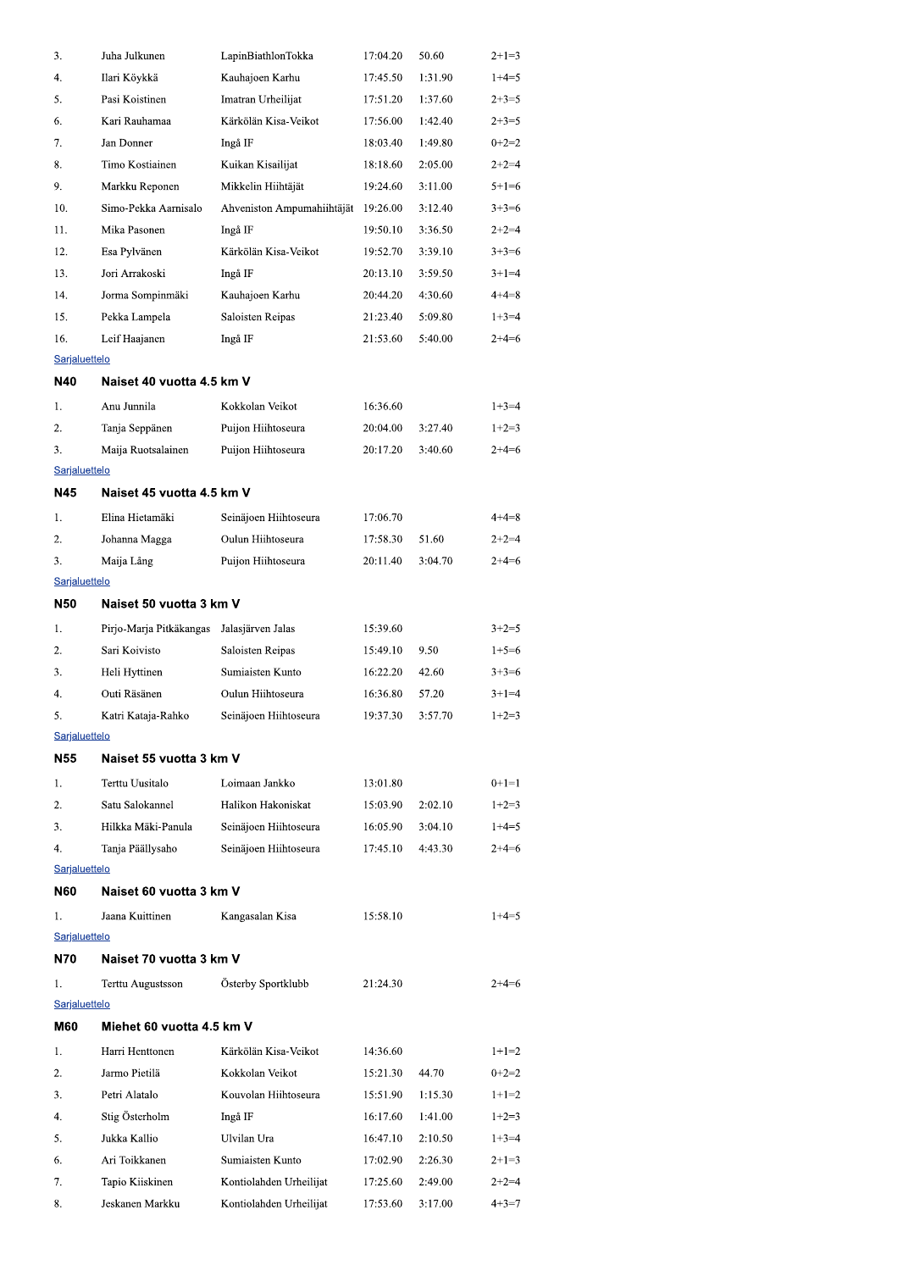| 3.                   | Juha Julkunen             | LapinBiathlonTokka         | 17:04.20 | 50.60   | $2+1=3$     |
|----------------------|---------------------------|----------------------------|----------|---------|-------------|
| 4.                   | Ilari Köykkä              | Kauhajoen Karhu            | 17:45.50 | 1:31.90 | $1+4=5$     |
| 5.                   | Pasi Koistinen            | Imatran Urheilijat         | 17:51.20 | 1:37.60 | $2+3=5$     |
| 6.                   | Kari Rauhamaa             | Kärkölän Kisa-Veikot       | 17:56.00 | 1:42.40 | $2+3=5$     |
| 7.                   | Jan Donner                | Ingå IF                    | 18:03.40 | 1:49.80 | $0+2=2$     |
| 8.                   | Timo Kostiainen           | Kuikan Kisailijat          | 18:18.60 | 2:05.00 | $2+2=4$     |
| 9.                   | Markku Reponen            | Mikkelin Hiihtäjät         | 19:24.60 | 3:11.00 | $5+1=6$     |
| 10.                  | Simo-Pekka Aarnisalo      | Ahveniston Ampumahiihtäjät | 19:26.00 | 3:12.40 | $3+3=6$     |
| 11.                  | Mika Pasonen              | Ingå IF                    | 19:50.10 | 3:36.50 | $2+2=4$     |
| 12.                  | Esa Pylvänen              | Kärkölän Kisa-Veikot       | 19:52.70 | 3:39.10 | $3+3=6$     |
| 13.                  | Jori Arrakoski            | Ingå IF                    | 20:13.10 | 3:59.50 | $3+1=4$     |
| 14.                  | Jorma Sompinmäki          | Kauhajoen Karhu            | 20:44.20 | 4:30.60 | $4 + 4 = 8$ |
| 15.                  | Pekka Lampela             | Saloisten Reipas           | 21:23.40 | 5:09.80 | $1+3=4$     |
| 16.                  | Leif Haajanen             | Ingå IF                    | 21:53.60 | 5:40.00 | $2+4=6$     |
| Sarjaluettelo        |                           |                            |          |         |             |
| N40                  | Naiset 40 vuotta 4.5 km V |                            |          |         |             |
| 1.                   | Anu Junnila               | Kokkolan Veikot            | 16:36.60 |         | $1+3=4$     |
| 2.                   | Tanja Seppänen            | Puijon Hiihtoseura         | 20:04.00 | 3:27.40 | $1+2=3$     |
| 3.                   | Maija Ruotsalainen        | Puijon Hiihtoseura         | 20:17.20 | 3:40.60 | $2+4=6$     |
| Sarjaluettelo        |                           |                            |          |         |             |
| N45                  | Naiset 45 vuotta 4.5 km V |                            |          |         |             |
| 1.                   | Elina Hietamäki           | Seinäjoen Hiihtoseura      | 17:06.70 |         | $4 + 4 = 8$ |
| 2.                   | Johanna Magga             | Oulun Hiihtoseura          | 17:58.30 | 51.60   | $2+2=4$     |
| 3.                   | Maija Lång                | Puijon Hiihtoseura         | 20:11.40 | 3:04.70 | $2+4=6$     |
| Sarjaluettelo        |                           |                            |          |         |             |
| N <sub>50</sub>      | Naiset 50 vuotta 3 km V   |                            |          |         |             |
| 1.                   | Pirjo-Marja Pitkäkangas   | Jalasjärven Jalas          | 15:39.60 |         | $3+2=5$     |
| 2.                   | Sari Koivisto             | Saloisten Reipas           | 15:49.10 | 9.50    | $1+5=6$     |
| 3.                   | Heli Hyttinen             | Sumiaisten Kunto           | 16:22.20 | 42.60   | $3+3=6$     |
| 4.                   | Outi Räsänen              | Oulun Hiihtoseura          | 16:36.80 | 57.20   | $3+1=4$     |
| 5.                   |                           | Seinäjoen Hiihtoseura      | 19:37.30 | 3:57.70 | $1+2=3$     |
| Sarjaluettelo        | Katri Kataja-Rahko        |                            |          |         |             |
| N55                  | Naiset 55 vuotta 3 km V   |                            |          |         |             |
|                      |                           |                            |          |         |             |
| 1.                   | Terttu Uusitalo           | Loimaan Jankko             | 13:01.80 |         | $0+1=1$     |
| 2.                   | Satu Salokannel           | Halikon Hakoniskat         | 15:03.90 | 2:02.10 | $1+2=3$     |
| 3.                   | Hilkka Mäki-Panula        | Seinäjoen Hiihtoseura      | 16:05.90 | 3:04.10 | $1+4=5$     |
| 4.                   | Tanja Päällysaho          | Seinäjoen Hiihtoseura      | 17:45.10 | 4:43.30 | $2+4=6$     |
| Sarjaluettelo<br>N60 | Naiset 60 vuotta 3 km V   |                            |          |         |             |
|                      |                           |                            |          |         |             |
| 1.                   | Jaana Kuittinen           | Kangasalan Kisa            | 15:58.10 |         | $1+4=5$     |
| Sarjaluettelo        |                           |                            |          |         |             |
| N70                  | Naiset 70 vuotta 3 km V   |                            |          |         |             |
| 1.                   | Terttu Augustsson         | Österby Sportklubb         | 21:24.30 |         | $2+4=6$     |
| Sarjaluettelo        |                           |                            |          |         |             |
| M60                  | Miehet 60 vuotta 4.5 km V |                            |          |         |             |
| 1.                   | Harri Henttonen           | Kärkölän Kisa-Veikot       | 14:36.60 |         | $1+1=2$     |
| 2.                   | Jarmo Pietilä             | Kokkolan Veikot            | 15:21.30 | 44.70   | $0+2=2$     |
| 3.                   | Petri Alatalo             | Kouvolan Hiihtoseura       | 15:51.90 | 1:15.30 | $1+1=2$     |
| 4.                   | Stig Österholm            | Ingå IF                    | 16:17.60 | 1:41.00 | $1+2=3$     |
| 5.                   | Jukka Kallio              | Ulvilan Ura                | 16:47.10 | 2:10.50 | $1+3=4$     |
| 6.                   | Ari Toikkanen             | Sumiaisten Kunto           | 17:02.90 | 2:26.30 | $2+1=3$     |
| 7.                   | Tapio Kiiskinen           | Kontiolahden Urheilijat    | 17:25.60 | 2:49.00 | $2+2=4$     |
| 8.                   | Jeskanen Markku           | Kontiolahden Urheilijat    | 17:53.60 | 3:17.00 | $4+3=7$     |